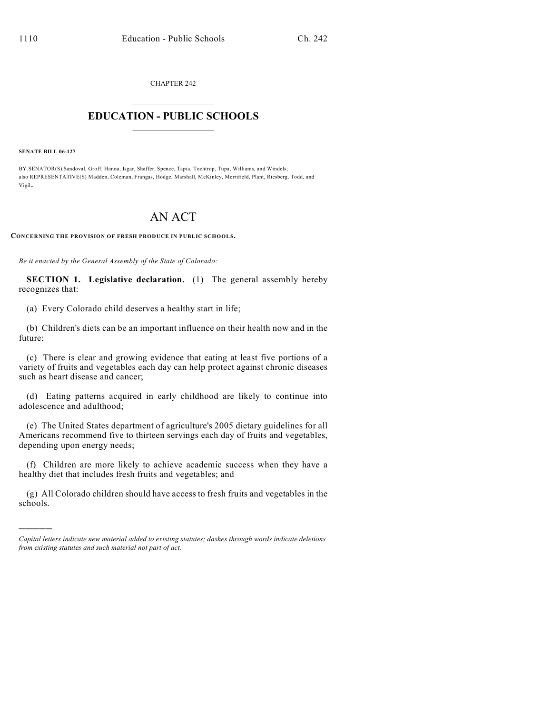CHAPTER 242  $\mathcal{L}_\text{max}$  . The set of the set of the set of the set of the set of the set of the set of the set of the set of the set of the set of the set of the set of the set of the set of the set of the set of the set of the set

## **EDUCATION - PUBLIC SCHOOLS**  $\_$   $\_$   $\_$   $\_$   $\_$   $\_$   $\_$   $\_$   $\_$

**SENATE BILL 06-127**

)))))

BY SENATOR(S) Sandoval, Groff, Hanna, Isgar, Shaffer, Spence, Tapia, Tochtrop, Tupa, Williams, and Windels; also REPRESENTATIVE(S) Madden, Coleman, Frangas, Hodge, Marshall, McKinley, Merrifield, Plant, Riesberg, Todd, and Vigil.

## AN ACT

**CONCERNING THE PROVISION OF FRESH PRODUCE IN PUBLIC SCHOOLS.**

*Be it enacted by the General Assembly of the State of Colorado:*

**SECTION 1. Legislative declaration.** (1) The general assembly hereby recognizes that:

(a) Every Colorado child deserves a healthy start in life;

(b) Children's diets can be an important influence on their health now and in the future;

(c) There is clear and growing evidence that eating at least five portions of a variety of fruits and vegetables each day can help protect against chronic diseases such as heart disease and cancer;

(d) Eating patterns acquired in early childhood are likely to continue into adolescence and adulthood;

(e) The United States department of agriculture's 2005 dietary guidelines for all Americans recommend five to thirteen servings each day of fruits and vegetables, depending upon energy needs;

(f) Children are more likely to achieve academic success when they have a healthy diet that includes fresh fruits and vegetables; and

(g) All Colorado children should have access to fresh fruits and vegetables in the schools.

*Capital letters indicate new material added to existing statutes; dashes through words indicate deletions from existing statutes and such material not part of act.*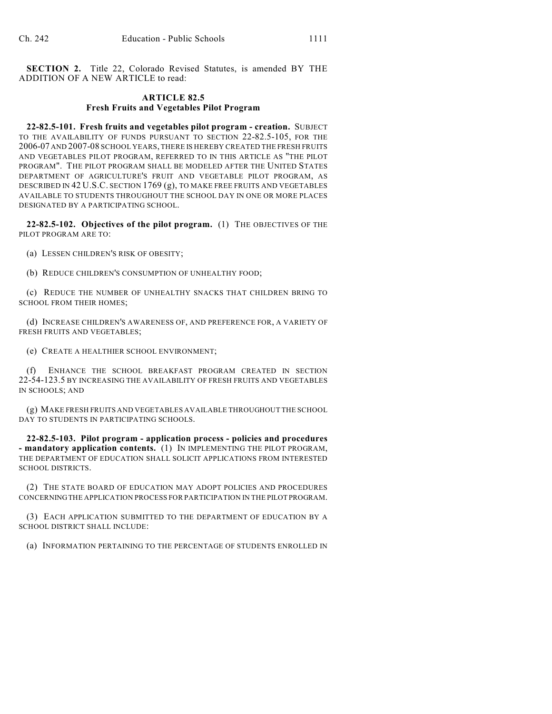**SECTION 2.** Title 22, Colorado Revised Statutes, is amended BY THE ADDITION OF A NEW ARTICLE to read:

## **ARTICLE 82.5 Fresh Fruits and Vegetables Pilot Program**

**22-82.5-101. Fresh fruits and vegetables pilot program - creation.** SUBJECT TO THE AVAILABILITY OF FUNDS PURSUANT TO SECTION 22-82.5-105, FOR THE 2006-07 AND 2007-08 SCHOOL YEARS, THERE IS HEREBY CREATED THE FRESH FRUITS AND VEGETABLES PILOT PROGRAM, REFERRED TO IN THIS ARTICLE AS "THE PILOT PROGRAM". THE PILOT PROGRAM SHALL BE MODELED AFTER THE UNITED STATES DEPARTMENT OF AGRICULTURE'S FRUIT AND VEGETABLE PILOT PROGRAM, AS DESCRIBED IN 42 U.S.C. SECTION 1769 (g), TO MAKE FREE FRUITS AND VEGETABLES AVAILABLE TO STUDENTS THROUGHOUT THE SCHOOL DAY IN ONE OR MORE PLACES DESIGNATED BY A PARTICIPATING SCHOOL.

**22-82.5-102. Objectives of the pilot program.** (1) THE OBJECTIVES OF THE PILOT PROGRAM ARE TO:

(a) LESSEN CHILDREN'S RISK OF OBESITY;

(b) REDUCE CHILDREN'S CONSUMPTION OF UNHEALTHY FOOD;

(c) REDUCE THE NUMBER OF UNHEALTHY SNACKS THAT CHILDREN BRING TO SCHOOL FROM THEIR HOMES;

(d) INCREASE CHILDREN'S AWARENESS OF, AND PREFERENCE FOR, A VARIETY OF FRESH FRUITS AND VEGETABLES;

(e) CREATE A HEALTHIER SCHOOL ENVIRONMENT;

(f) ENHANCE THE SCHOOL BREAKFAST PROGRAM CREATED IN SECTION 22-54-123.5 BY INCREASING THE AVAILABILITY OF FRESH FRUITS AND VEGETABLES IN SCHOOLS; AND

(g) MAKE FRESH FRUITS AND VEGETABLES AVAILABLE THROUGHOUT THE SCHOOL DAY TO STUDENTS IN PARTICIPATING SCHOOLS.

**22-82.5-103. Pilot program - application process - policies and procedures - mandatory application contents.** (1) IN IMPLEMENTING THE PILOT PROGRAM, THE DEPARTMENT OF EDUCATION SHALL SOLICIT APPLICATIONS FROM INTERESTED SCHOOL DISTRICTS.

(2) THE STATE BOARD OF EDUCATION MAY ADOPT POLICIES AND PROCEDURES CONCERNING THE APPLICATION PROCESS FOR PARTICIPATION IN THE PILOT PROGRAM.

(3) EACH APPLICATION SUBMITTED TO THE DEPARTMENT OF EDUCATION BY A SCHOOL DISTRICT SHALL INCLUDE:

(a) INFORMATION PERTAINING TO THE PERCENTAGE OF STUDENTS ENROLLED IN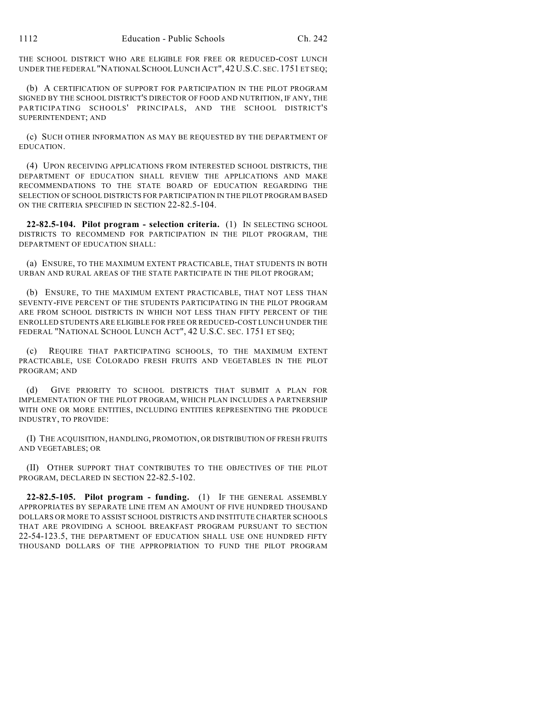THE SCHOOL DISTRICT WHO ARE ELIGIBLE FOR FREE OR REDUCED-COST LUNCH UNDER THE FEDERAL "NATIONAL SCHOOL LUNCH ACT", 42 U.S.C. SEC. 1751 ET SEQ;

(b) A CERTIFICATION OF SUPPORT FOR PARTICIPATION IN THE PILOT PROGRAM SIGNED BY THE SCHOOL DISTRICT'S DIRECTOR OF FOOD AND NUTRITION, IF ANY, THE PARTICIPATING SCHOOLS' PRINCIPALS, AND THE SCHOOL DISTRICT'S SUPERINTENDENT; AND

(c) SUCH OTHER INFORMATION AS MAY BE REQUESTED BY THE DEPARTMENT OF EDUCATION.

(4) UPON RECEIVING APPLICATIONS FROM INTERESTED SCHOOL DISTRICTS, THE DEPARTMENT OF EDUCATION SHALL REVIEW THE APPLICATIONS AND MAKE RECOMMENDATIONS TO THE STATE BOARD OF EDUCATION REGARDING THE SELECTION OF SCHOOL DISTRICTS FOR PARTICIPATION IN THE PILOT PROGRAM BASED ON THE CRITERIA SPECIFIED IN SECTION 22-82.5-104.

**22-82.5-104. Pilot program - selection criteria.** (1) IN SELECTING SCHOOL DISTRICTS TO RECOMMEND FOR PARTICIPATION IN THE PILOT PROGRAM, THE DEPARTMENT OF EDUCATION SHALL:

(a) ENSURE, TO THE MAXIMUM EXTENT PRACTICABLE, THAT STUDENTS IN BOTH URBAN AND RURAL AREAS OF THE STATE PARTICIPATE IN THE PILOT PROGRAM;

(b) ENSURE, TO THE MAXIMUM EXTENT PRACTICABLE, THAT NOT LESS THAN SEVENTY-FIVE PERCENT OF THE STUDENTS PARTICIPATING IN THE PILOT PROGRAM ARE FROM SCHOOL DISTRICTS IN WHICH NOT LESS THAN FIFTY PERCENT OF THE ENROLLED STUDENTS ARE ELIGIBLE FOR FREE OR REDUCED-COST LUNCH UNDER THE FEDERAL "NATIONAL SCHOOL LUNCH ACT", 42 U.S.C. SEC. 1751 ET SEQ;

(c) REQUIRE THAT PARTICIPATING SCHOOLS, TO THE MAXIMUM EXTENT PRACTICABLE, USE COLORADO FRESH FRUITS AND VEGETABLES IN THE PILOT PROGRAM; AND

(d) GIVE PRIORITY TO SCHOOL DISTRICTS THAT SUBMIT A PLAN FOR IMPLEMENTATION OF THE PILOT PROGRAM, WHICH PLAN INCLUDES A PARTNERSHIP WITH ONE OR MORE ENTITIES, INCLUDING ENTITIES REPRESENTING THE PRODUCE INDUSTRY, TO PROVIDE:

(I) THE ACQUISITION, HANDLING, PROMOTION, OR DISTRIBUTION OF FRESH FRUITS AND VEGETABLES; OR

(II) OTHER SUPPORT THAT CONTRIBUTES TO THE OBJECTIVES OF THE PILOT PROGRAM, DECLARED IN SECTION 22-82.5-102.

**22-82.5-105. Pilot program - funding.** (1) IF THE GENERAL ASSEMBLY APPROPRIATES BY SEPARATE LINE ITEM AN AMOUNT OF FIVE HUNDRED THOUSAND DOLLARS OR MORE TO ASSIST SCHOOL DISTRICTS AND INSTITUTE CHARTER SCHOOLS THAT ARE PROVIDING A SCHOOL BREAKFAST PROGRAM PURSUANT TO SECTION 22-54-123.5, THE DEPARTMENT OF EDUCATION SHALL USE ONE HUNDRED FIFTY THOUSAND DOLLARS OF THE APPROPRIATION TO FUND THE PILOT PROGRAM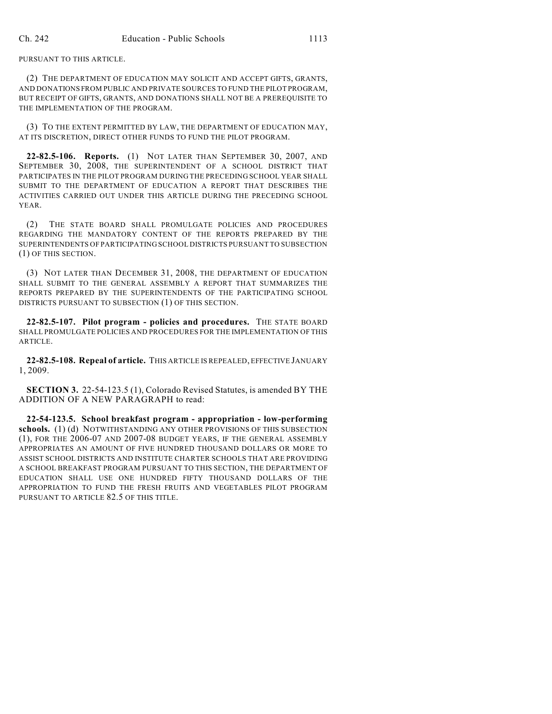PURSUANT TO THIS ARTICLE.

(2) THE DEPARTMENT OF EDUCATION MAY SOLICIT AND ACCEPT GIFTS, GRANTS, AND DONATIONS FROM PUBLIC AND PRIVATE SOURCES TO FUND THE PILOT PROGRAM, BUT RECEIPT OF GIFTS, GRANTS, AND DONATIONS SHALL NOT BE A PREREQUISITE TO THE IMPLEMENTATION OF THE PROGRAM.

(3) TO THE EXTENT PERMITTED BY LAW, THE DEPARTMENT OF EDUCATION MAY, AT ITS DISCRETION, DIRECT OTHER FUNDS TO FUND THE PILOT PROGRAM.

**22-82.5-106. Reports.** (1) NOT LATER THAN SEPTEMBER 30, 2007, AND SEPTEMBER 30, 2008, THE SUPERINTENDENT OF A SCHOOL DISTRICT THAT PARTICIPATES IN THE PILOT PROGRAM DURING THE PRECEDING SCHOOL YEAR SHALL SUBMIT TO THE DEPARTMENT OF EDUCATION A REPORT THAT DESCRIBES THE ACTIVITIES CARRIED OUT UNDER THIS ARTICLE DURING THE PRECEDING SCHOOL YEAR.

(2) THE STATE BOARD SHALL PROMULGATE POLICIES AND PROCEDURES REGARDING THE MANDATORY CONTENT OF THE REPORTS PREPARED BY THE SUPERINTENDENTS OF PARTICIPATING SCHOOL DISTRICTS PURSUANT TO SUBSECTION (1) OF THIS SECTION.

(3) NOT LATER THAN DECEMBER 31, 2008, THE DEPARTMENT OF EDUCATION SHALL SUBMIT TO THE GENERAL ASSEMBLY A REPORT THAT SUMMARIZES THE REPORTS PREPARED BY THE SUPERINTENDENTS OF THE PARTICIPATING SCHOOL DISTRICTS PURSUANT TO SUBSECTION (1) OF THIS SECTION.

**22-82.5-107. Pilot program - policies and procedures.** THE STATE BOARD SHALL PROMULGATE POLICIES AND PROCEDURES FOR THE IMPLEMENTATION OF THIS ARTICLE.

**22-82.5-108. Repeal of article.** THIS ARTICLE IS REPEALED, EFFECTIVE JANUARY 1, 2009.

**SECTION 3.** 22-54-123.5 (1), Colorado Revised Statutes, is amended BY THE ADDITION OF A NEW PARAGRAPH to read:

**22-54-123.5. School breakfast program - appropriation - low-performing schools.** (1) (d) NOTWITHSTANDING ANY OTHER PROVISIONS OF THIS SUBSECTION (1), FOR THE 2006-07 AND 2007-08 BUDGET YEARS, IF THE GENERAL ASSEMBLY APPROPRIATES AN AMOUNT OF FIVE HUNDRED THOUSAND DOLLARS OR MORE TO ASSIST SCHOOL DISTRICTS AND INSTITUTE CHARTER SCHOOLS THAT ARE PROVIDING A SCHOOL BREAKFAST PROGRAM PURSUANT TO THIS SECTION, THE DEPARTMENT OF EDUCATION SHALL USE ONE HUNDRED FIFTY THOUSAND DOLLARS OF THE APPROPRIATION TO FUND THE FRESH FRUITS AND VEGETABLES PILOT PROGRAM PURSUANT TO ARTICLE 82.5 OF THIS TITLE.